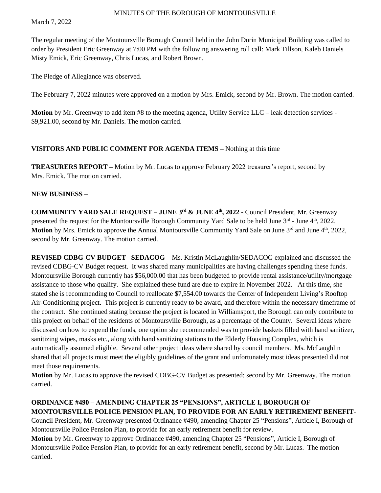March 7, 2022

The regular meeting of the Montoursville Borough Council held in the John Dorin Municipal Building was called to order by President Eric Greenway at 7:00 PM with the following answering roll call: Mark Tillson, Kaleb Daniels Misty Emick, Eric Greenway, Chris Lucas, and Robert Brown.

The Pledge of Allegiance was observed.

The February 7, 2022 minutes were approved on a motion by Mrs. Emick, second by Mr. Brown. The motion carried.

**Motion** by Mr. Greenway to add item #8 to the meeting agenda, Utility Service LLC – leak detection services - \$9,921.00, second by Mr. Daniels. The motion carried.

## **VISITORS AND PUBLIC COMMENT FOR AGENDA ITEMS –** Nothing at this time

**TREASURERS REPORT –** Motion by Mr. Lucas to approve February 2022 treasurer's report, second by Mrs. Emick. The motion carried.

#### **NEW BUSINESS –**

**COMMUNITY YARD SALE REQUEST – JUNE 3rd & JUNE 4 th , 2022 -** Council President, Mr. Greenway presented the request for the Montoursville Borough Community Yard Sale to be held June 3<sup>rd</sup> - June 4<sup>th</sup>, 2022. Motion by Mrs. Emick to approve the Annual Montoursville Community Yard Sale on June 3<sup>rd</sup> and June 4<sup>th</sup>, 2022, second by Mr. Greenway. The motion carried.

**REVISED CDBG-CV BUDGET –SEDACOG –** Ms. Kristin McLaughlin/SEDACOG explained and discussed the revised CDBG-CV Budget request. It was shared many municipalities are having challenges spending these funds. Montoursville Borough currently has \$56,000.00 that has been budgeted to provide rental assistance/utility/mortgage assistance to those who qualify. She explained these fund are due to expire in November 2022. At this time, she stated she is recommending to Council to reallocate \$7,554.00 towards the Center of Independent Living's Rooftop Air-Conditioning project. This project is currently ready to be award, and therefore within the necessary timeframe of the contract. She continued stating because the project is located in Williamsport, the Borough can only contribute to this project on behalf of the residents of Montoursville Borough, as a percentage of the County. Several ideas where discussed on how to expend the funds, one option she recommended was to provide baskets filled with hand sanitizer, sanitizing wipes, masks etc., along with hand sanitizing stations to the Elderly Housing Complex, which is automatically assumed eligible. Several other project ideas where shared by council members. Ms. McLaughlin shared that all projects must meet the eligibly guidelines of the grant and unfortunately most ideas presented did not meet those requirements.

**Motion** by Mr. Lucas to approve the revised CDBG-CV Budget as presented; second by Mr. Greenway. The motion carried.

# **ORDINANCE #490 – AMENDING CHAPTER 25 "PENSIONS", ARTICLE I, BOROUGH OF MONTOURSVILLE POLICE PENSION PLAN, TO PROVIDE FOR AN EARLY RETIREMENT BENEFIT-**Council President, Mr. Greenway presented Ordinance #490, amending Chapter 25 "Pensions", Article I, Borough of Montoursville Police Pension Plan, to provide for an early retirement benefit for review.

**Motion** by Mr. Greenway to approve Ordinance #490, amending Chapter 25 "Pensions", Article I, Borough of Montoursville Police Pension Plan, to provide for an early retirement benefit, second by Mr. Lucas. The motion carried.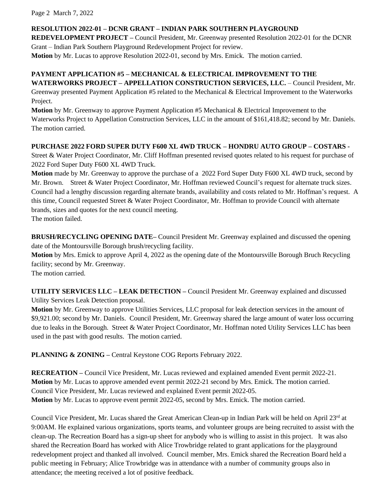Page 2 March 7, 2022

# **RESOLUTION 2022-01 – DCNR GRANT – INDIAN PARK SOUTHERN PLAYGROUND**

**REDEVELOPMENT PROJECT –** Council President, Mr. Greenway presented Resolution 2022-01 for the DCNR Grant – Indian Park Southern Playground Redevelopment Project for review.

**Motion** by Mr. Lucas to approve Resolution 2022-01, second by Mrs. Emick. The motion carried.

# **PAYMENT APPLICATION #5 – MECHANICAL & ELECTRICAL IMPROVEMENT TO THE WATERWORKS PROJECT – APPELLATION CONSTRUCTION SERVICES, LLC.** – Council President, Mr.

Greenway presented Payment Application #5 related to the Mechanical & Electrical Improvement to the Waterworks Project.

**Motion** by Mr. Greenway to approve Payment Application #5 Mechanical & Electrical Improvement to the Waterworks Project to Appellation Construction Services, LLC in the amount of \$161,418.82; second by Mr. Daniels. The motion carried.

## **PURCHASE 2022 FORD SUPER DUTY F600 XL 4WD TRUCK – HONDRU AUTO GROUP – COSTARS -**

Street & Water Project Coordinator, Mr. Cliff Hoffman presented revised quotes related to his request for purchase of 2022 Ford Super Duty F600 XL 4WD Truck.

**Motion** made by Mr. Greenway to approve the purchase of a 2022 Ford Super Duty F600 XL 4WD truck, second by Mr. Brown. Street & Water Project Coordinator, Mr. Hoffman reviewed Council's request for alternate truck sizes. Council had a lengthy discussion regarding alternate brands, availability and costs related to Mr. Hoffman's request. A this time, Council requested Street & Water Project Coordinator, Mr. Hoffman to provide Council with alternate brands, sizes and quotes for the next council meeting.

The motion failed.

**BRUSH/RECYCLING OPENING DATE–** Council President Mr. Greenway explained and discussed the opening date of the Montoursville Borough brush/recycling facility.

**Motion** by Mrs. Emick to approve April 4, 2022 as the opening date of the Montoursville Borough Bruch Recycling facility; second by Mr. Greenway.

The motion carried.

**UTILITY SERVICES LLC – LEAK DETECTION –** Council President Mr. Greenway explained and discussed Utility Services Leak Detection proposal.

**Motion** by Mr. Greenway to approve Utilities Services, LLC proposal for leak detection services in the amount of \$9,921.00; second by Mr. Daniels. Council President, Mr. Greenway shared the large amount of water loss occurring due to leaks in the Borough. Street & Water Project Coordinator, Mr. Hoffman noted Utility Services LLC has been used in the past with good results. The motion carried.

**PLANNING & ZONING –** Central Keystone COG Reports February 2022.

**RECREATION –** Council Vice President, Mr. Lucas reviewed and explained amended Event permit 2022-21. **Motion** by Mr. Lucas to approve amended event permit 2022-21 second by Mrs. Emick. The motion carried. Council Vice President, Mr. Lucas reviewed and explained Event permit 2022-05. **Motion** by Mr. Lucas to approve event permit 2022-05, second by Mrs. Emick. The motion carried.

Council Vice President, Mr. Lucas shared the Great American Clean-up in Indian Park will be held on April 23rd at 9:00AM. He explained various organizations, sports teams, and volunteer groups are being recruited to assist with the clean-up. The Recreation Board has a sign-up sheet for anybody who is willing to assist in this project. It was also shared the Recreation Board has worked with Alice Trowbridge related to grant applications for the playground redevelopment project and thanked all involved. Council member, Mrs. Emick shared the Recreation Board held a public meeting in February; Alice Trowbridge was in attendance with a number of community groups also in attendance; the meeting received a lot of positive feedback.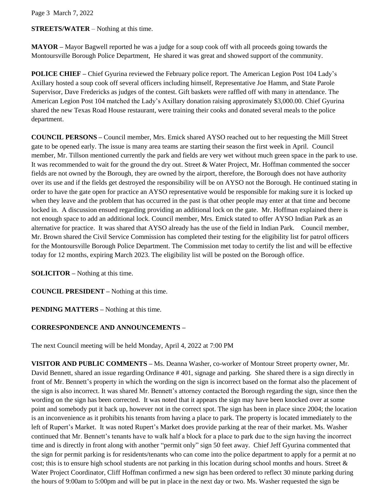Page 3 March 7, 2022

**STREETS/WATER** – Nothing at this time.

**MAYOR –** Mayor Bagwell reported he was a judge for a soup cook off with all proceeds going towards the Montoursville Borough Police Department, He shared it was great and showed support of the community.

**POLICE CHIEF –** Chief Gyurina reviewed the February police report. The American Legion Post 104 Lady's Axillary hosted a soup cook off several officers including himself, Representative Joe Hamm, and State Parole Supervisor, Dave Fredericks as judges of the contest. Gift baskets were raffled off with many in attendance. The American Legion Post 104 matched the Lady's Axillary donation raising approximately \$3,000.00. Chief Gyurina shared the new Texas Road House restaurant, were training their cooks and donated several meals to the police department.

**COUNCIL PERSONS –** Council member, Mrs. Emick shared AYSO reached out to her requesting the Mill Street gate to be opened early. The issue is many area teams are starting their season the first week in April. Council member, Mr. Tillson mentioned currently the park and fields are very wet without much green space in the park to use. It was recommended to wait for the ground the dry out. Street & Water Project, Mr. Hoffman commented the soccer fields are not owned by the Borough, they are owned by the airport, therefore, the Borough does not have authority over its use and if the fields get destroyed the responsibility will be on AYSO not the Borough. He continued stating in order to have the gate open for practice an AYSO representative would be responsible for making sure it is locked up when they leave and the problem that has occurred in the past is that other people may enter at that time and become locked in. A discussion ensued regarding providing an additional lock on the gate. Mr. Hoffman explained there is not enough space to add an additional lock. Council member, Mrs. Emick stated to offer AYSO Indian Park as an alternative for practice. It was shared that AYSO already has the use of the field in Indian Park. Council member, Mr. Brown shared the Civil Service Commission has completed their testing for the eligibility list for patrol officers for the Montoursville Borough Police Department. The Commission met today to certify the list and will be effective today for 12 months, expiring March 2023. The eligibility list will be posted on the Borough office.

**SOLICITOR –** Nothing at this time.

**COUNCIL PRESIDENT –** Nothing at this time.

**PENDING MATTERS –** Nothing at this time.

## **CORRESPONDENCE AND ANNOUNCEMENTS –**

The next Council meeting will be held Monday, April 4, 2022 at 7:00 PM

**VISITOR AND PUBLIC COMMENTS –** Ms. Deanna Washer, co-worker of Montour Street property owner, Mr. David Bennett, shared an issue regarding Ordinance # 401, signage and parking. She shared there is a sign directly in front of Mr. Bennett's property in which the wording on the sign is incorrect based on the format also the placement of the sign is also incorrect. It was shared Mr. Bennett's attorney contacted the Borough regarding the sign, since then the wording on the sign has been corrected. It was noted that it appears the sign may have been knocked over at some point and somebody put it back up, however not in the correct spot. The sign has been in place since 2004; the location is an inconvenience as it prohibits his tenants from having a place to park. The property is located immediately to the left of Rupert's Market. It was noted Rupert's Market does provide parking at the rear of their market. Ms. Washer continued that Mr. Bennett's tenants have to walk half a block for a place to park due to the sign having the incorrect time and is directly in front along with another "permit only" sign 50 feet away. Chief Jeff Gyurina commented that the sign for permit parking is for residents/tenants who can come into the police department to apply for a permit at no cost; this is to ensure high school students are not parking in this location during school months and hours. Street  $\&$ Water Project Coordinator, Cliff Hoffman confirmed a new sign has been ordered to reflect 30 minute parking during the hours of 9:00am to 5:00pm and will be put in place in the next day or two. Ms. Washer requested the sign be